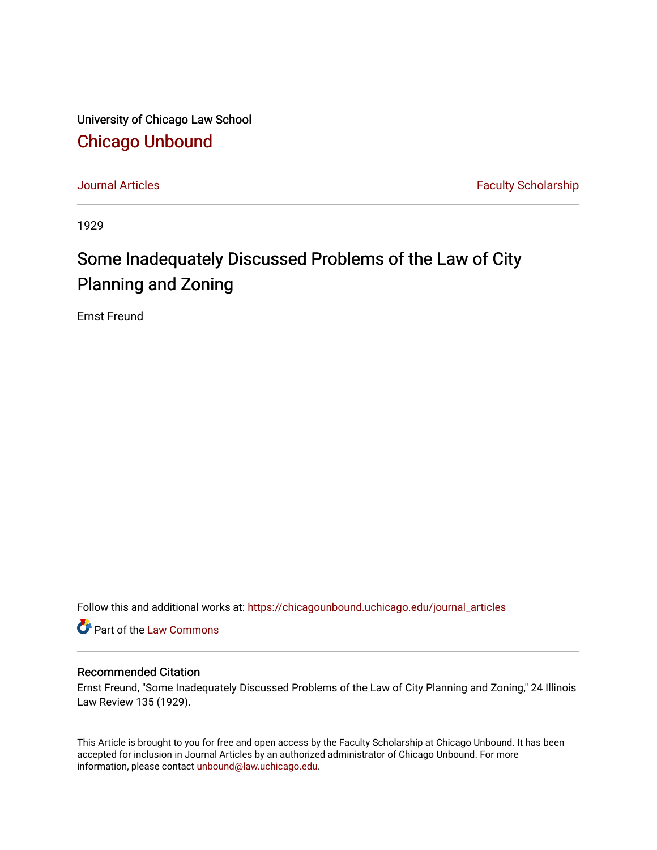University of Chicago Law School [Chicago Unbound](https://chicagounbound.uchicago.edu/)

[Journal Articles](https://chicagounbound.uchicago.edu/journal_articles) **Faculty Scholarship Faculty Scholarship** 

1929

## Some Inadequately Discussed Problems of the Law of City Planning and Zoning

Ernst Freund

Follow this and additional works at: [https://chicagounbound.uchicago.edu/journal\\_articles](https://chicagounbound.uchicago.edu/journal_articles?utm_source=chicagounbound.uchicago.edu%2Fjournal_articles%2F7840&utm_medium=PDF&utm_campaign=PDFCoverPages) 

Part of the [Law Commons](http://network.bepress.com/hgg/discipline/578?utm_source=chicagounbound.uchicago.edu%2Fjournal_articles%2F7840&utm_medium=PDF&utm_campaign=PDFCoverPages)

## Recommended Citation

Ernst Freund, "Some Inadequately Discussed Problems of the Law of City Planning and Zoning," 24 Illinois Law Review 135 (1929).

This Article is brought to you for free and open access by the Faculty Scholarship at Chicago Unbound. It has been accepted for inclusion in Journal Articles by an authorized administrator of Chicago Unbound. For more information, please contact [unbound@law.uchicago.edu](mailto:unbound@law.uchicago.edu).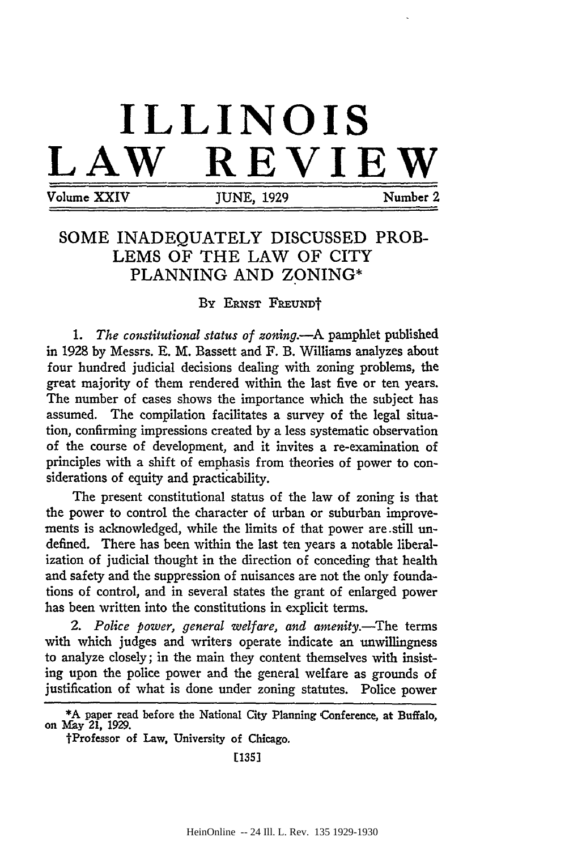## **ILLINOIS LAW REVIEW** Volume XXIV JUNE, 1929 Number 2

## **SOME INADEQUATELY DISCUSSED** PROB-**LEMS** OF THE LAW OF CITY PLANNING AND ZONING\*

BY ERNST FREUNDT

*1. The constitutional status of zoning.-A* pamphlet published in 1928 by Messrs. E. M. Bassett and F. B. Williams analyzes about four hundred judicial decisions dealing with zoning problems, the great majority of them rendered within the last five or ten years. The number of cases shows the importance which the subject has assumed. The compilation facilitates a survey of the legal situation, confirming impressions created by a less systematic observation of the course of development, and it invites a re-examination of principles with a shift of emphasis from theories of power to considerations of equity and practicability.

The present constitutional status of the law of zoning is that the power to control the character of urban or suburban improvements is acknowledged, while the limits of that power are still undefined. There has been within the last ten years a notable liberalization of judicial thought in the direction of conceding that health and safety and the suppression of nuisances are not the only foundations of control, and in several states the grant of enlarged power has been written into the constitutions in explicit terms.

2. Police power, general welfare, and amenity.—The terms with which judges and writers operate indicate an unwillingness to analyze closely; in the main they content themselves with insisting upon the police power and the general welfare as grounds of justification of what is done under zoning statutes. Police power

**[135]**

<sup>\*</sup>A paper read before the National City Planning Conference, at Buffalo, on May 21, 1929.

tProfessor of Law, University of Chicago.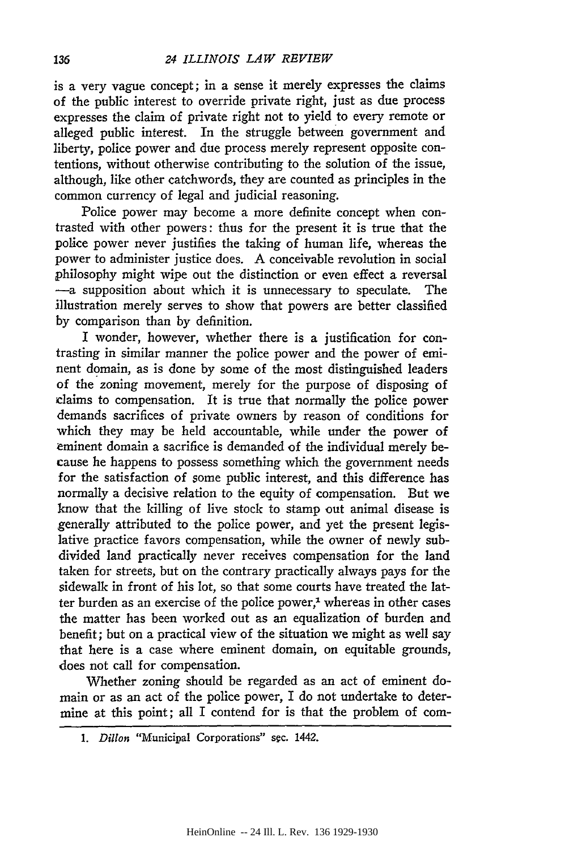is a very vague concept; in a sense it merely expresses the claims of the public interest to override private right, just as due process expresses the claim of private right not to yield to every remote or alleged public interest. In the struggle between government and liberty, police power and due process merely represent opposite contentions, without otherwise contributing to the solution of the issue, although, like other catchwords, they are counted as principles in the common currency of legal and judicial reasoning.

Police power may become a more definite concept when contrasted with other powers: thus for the present it is true that the police power never justifies the taking of human life, whereas the power to administer justice does. A conceivable revolution in social philosophy might wipe out the distinction or even effect a reversal -a supposition about which it is unnecessary to speculate. The illustration merely serves to show that powers are better classified **by** comparison than **by** definition.

I wonder, however, whether there is a justification for contrasting in similar manner the police power and the power of eminent domain, as is done by some of the most distinguished leaders of the zoning movement, merely for the purpose of disposing of claims to compensation. It is true that normally the police power demands sacrifices of private owners **by** reason of conditions for which they may be held accountable, while under the power of eminent domain a sacrifice is demanded of the individual merely because he happens to possess something which the government needs for the satisfaction of some public interest, and this difference has normally a decisive relation to the equity of compensation. But we know that the killing of live stock to stamp out animal disease is generally attributed to the police power, and yet the present legislative practice favors compensation, while the owner of newly subdivided land practically never receives compensation for the land taken for streets, but on the contrary practically always pays for the sidewalk in front of his lot, so that some courts have treated the latter burden as an exercise of the police power, $<sup>1</sup>$  whereas in other cases</sup> the matter has been worked out as an equalization of burden and benefit; but on a practical view of the situation we might as well say that here is a case where eminent domain, on equitable grounds, does not call for compensation.

Whether zoning should be regarded as an act of eminent domain or as an act of the police power, I do not undertake to determine at this point; all I contend for is that the problem of com-

*1. Dillon* "Municipal Corporations" sgc. 1442.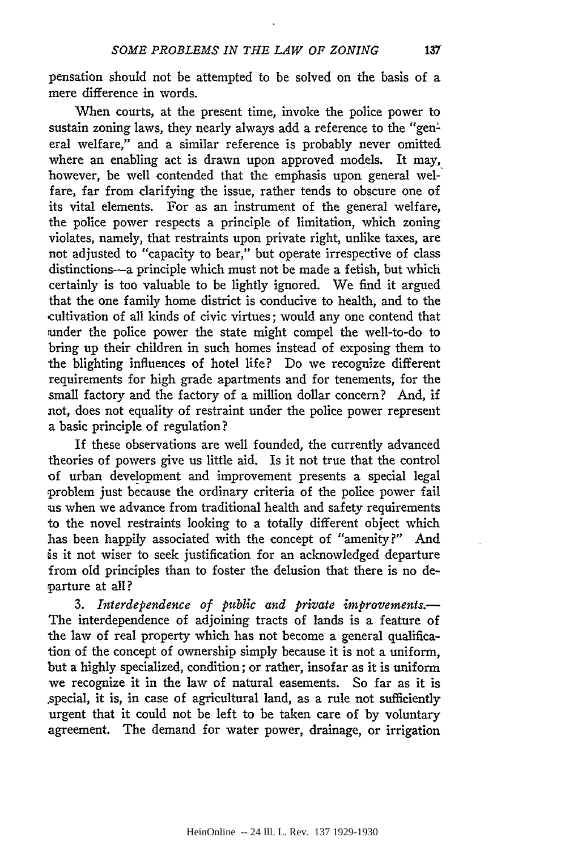pensation should not be attempted to be solved on the basis of a mere difference in words.

When courts, at the present time, invoke the police power to sustain zoning laws, they nearly always add a reference to the "general welfare," and a similar reference is probably never omitted where an enabling act is drawn upon approved models. It may, however, be well contended that the emphasis upon general welfare, far from clarifying the issue, rather tends to obscure one of its vital elements. For as an instrument of the general welfare, the police power respects a principle of limitation, which zoning violates, namely, that restraints upon private right, unlike taxes, are not adjusted to "capacity to bear," but operate irrespective of class distinctions-a principle which must not be made a fetish, but which certainly is too valuable to be lightly ignored. We find it argued that the one family home district is conducive to health, and to the cultivation of all kinds of civic virtues; would any one contend that under the police power the state might compel the well-to-do to bring up their children in such homes instead of exposing them to the blighting influences of hotel life? Do we recognize different requirements for high grade apartments and for tenements, for the small factory and the factory of a million dollar concern? And, if not, does not equality of restraint under the police power represent a basic principle of regulation?

If these observations are well founded, the currently advanced theories of powers give us little aid. Is it not true that the control of urban development and improvement presents a special legal problem just because the ordinary criteria of the police power fail us when we advance from traditional health and safety requirements to the novel restraints looking to a totally different object which has been happily associated with the concept of "amenity?" And is it not wiser to seek justification for an acknowledged departure from old principles than to foster the delusion that there is no departure at all?

*3. Interdependence of public and private improvements.-* The interdependence of adjoining tracts of lands is a feature of the law of real property which has not become a general qualification of the concept of ownership simply because it is not a uniform, but a highly specialized, condition; or rather, insofar as it is uniform we recognize it in the law of natural easements. So far as it is .special, it is, in case of agricultural land, as a rule not sufficiently urgent that it could not be left to be taken care of by voluntary agreement. The demand for water power, drainage, or irrigation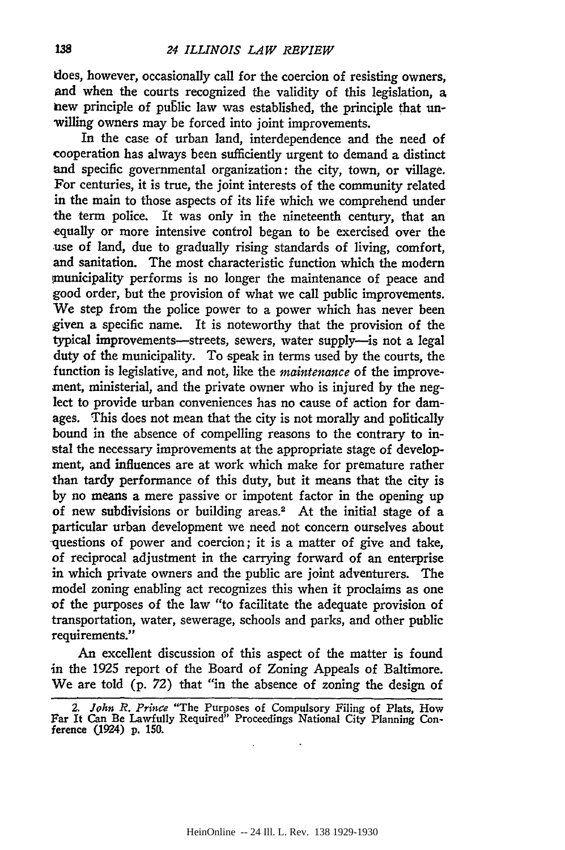does, however, occasionally call for the coercion of resisting owners, and when the courts recognized the validity of this legislation, a new principle of public law was established, the principle that unwilling owners may be forced into joint improvements.

In the case of urban land, interdependence and the need of cooperation has always been sufficiently urgent to demand a distinct and specific governmental organization: the city, town, or village. For centuries, it is true, the joint interests of the community related in the main to those aspects of its life which we comprehend under the term police. It was only in the nineteenth century, that an -equally or more intensive control began to be exercised over the use of land, due to gradually rising standards of living, comfort, and sanitation. The most characteristic function which the modern municipality performs is no longer the maintenance of peace and good order, but the provision of what we call public improvements. We step from the police power to a power which has never been given a specific name. It is noteworthy that the provision of the typical improvements-streets, sewers, water supply--is not a legal duty of the municipality. To speak in terms used by the courts, the function is legislative, and not, like the *maintenance* of the improvement, ministerial, and the private owner who is injured by the neglect to provide urban conveniences has no cause of action for damages. This does not mean that the city is not morally and politically bound in the absence of compelling reasons to the contrary to instal the necessary improvements at the appropriate stage of development, and influences are at work which make for premature rather than tardy performance of this duty, but it means that the city is by no means a mere passive or impotent factor in the opening up of new subdivisions or building areas.<sup>2</sup> At the initial stage of a particular urban development we need not concern ourselves about questions of power and coercion; it is a matter of give and take, of reciprocal adjustment in the carrying forward of an enterprise in which private owners and the public are joint adventurers. The model zoning enabling act recognizes this when it proclaims as one **of** the purposes of the law "to facilitate the adequate provision of transportation, water, sewerage, schools and parks, and other public requirements."

An excellent discussion of this aspect of the matter is found in the **1925** report of the Board of Zoning Appeals of Baltimore. We are told (p. **72)** that "in the absence of zoning the design of

*<sup>2.</sup> John* R. *Prince* "The Purposes of Compulsory Filing of Plats, How Far It Can Be Lawfully Required" Proceedings National City Planning Conference C1924) **p. 150.**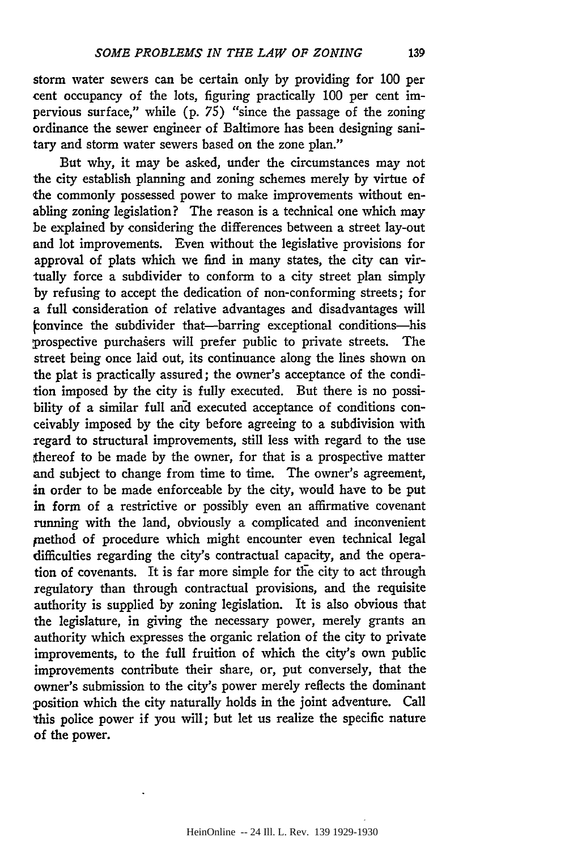storm water sewers can be certain only by providing for 100 per cent occupancy of the lots, figuring practically 100 per cent impervious surface," while (p. 75) "since the passage of the zoning ordinance the sewer engineer of Baltimore has been designing sanitary and storm water sewers based on the zone plan."

But why, it may be asked, under the circumstances may not the city establish planning and zoning schemes merely by virtue of the commonly possessed power to make improvements without enabling zoning legislation? The reason is a technical one which may be explained by considering the differences between a street lay-out and lot improvements. Even without the legislative provisions for approval of plats which we find in many states, the city can virtually force a subdivider to conform to a city street plan simply by refusing to accept the dedication of non-conforming streets; for a full consideration of relative advantages and disadvantages will onvince the subdivider that-barring exceptional conditions-his prospective purchasers will prefer public to private streets. The street being once laid out, its continuance along the lines shown on the plat is practically assured; the owner's acceptance of the condition imposed by the city is fully executed. But there is no possibility of a similar full and executed acceptance of conditions conceivably imposed by the city before agreeing to a subdivision with regard to structural improvements, still less with regard to the use thereof to be made by the owner, for that is a prospective matter and subject to change from time to time. The owner's agreement, in order to be made enforceable by the city, would have to be put in form of a restrictive or possibly even an affirmative covenant running with the land, obviously a complicated and inconvenient method of procedure which might encounter even technical legal difficulties regarding the city's contractual capacity, and the operation of covenants. It is far more simple for the city to act through regulatory than through contractual provisions, and the requisite authority is supplied by zoning legislation. It is also obvious that the legislature, in giving the necessary power, merely grants an authority which expresses the organic relation of the city to private improvements, to the full fruition of which the city's own public improvements contribute their share, or, put conversely, that the owner's submission to the city's power merely reflects the dominant position which the city naturally holds in the joint adventure. Call this police power if you will; but let us realize the specific nature of the power.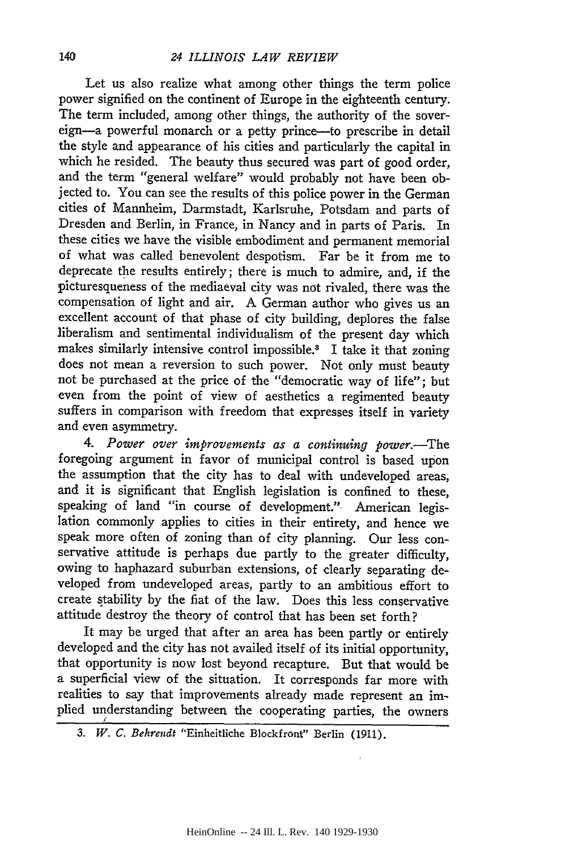Let us also realize what among other things the term police power signified on the continent of Europe in the eighteenth century. The term included, among other things, the authority of the sovereign-a powerful monarch or a petty prince-to prescribe in detail the style and appearance of his cities and particularly the capital in which he resided. The beauty thus secured was part of good order, and the term "general welfare" would probably not have been objected to. You can see the results of this police power in the German cities of Mannheim, Darmstadt, Karlsruhe, Potsdam and parts of Dresden and Berlin, in France, in Nancy and in parts of Paris. In these cities we have the visible embodiment and permanent memorial of what was called benevolent despotism. Far be it from me to deprecate the results entirely; there is much to admire, and, if the picturesqueness of the mediaeval city was not rivaled, there was the compensation of light and air. A German author who gives us an excellent account of that phase of city building, deplores the false liberalism and sentimental individualism of the present day which makes similarly intensive control impossible.3 I take it that zoning does not mean a reversion to such power. Not only must beauty not be purchased at the price of the "democratic way of life"; but even from the point of view of aesthetics a regimented beauty suffers in comparison with freedom that expresses itself in variety and even asymmetry.

*4. Power over improvements as a continuing power.-The* foregoing argument in favor of municipal control is based upon the assumption that the city has to deal with undeveloped areas, and it is significant that English legislation is confined to these, speaking of land "in course of development." American legislation commonly applies to cities in their entirety, and hence we speak more often of zoning than of city planning. Our less conservative attitude is perhaps due partly to the greater difficulty, owing to haphazard suburban extensions, of clearly separating developed from undeveloped areas, partly to an ambitious effort to create stability by the fiat of the law. Does this less conservative attitude destroy the theory of control that has been set forth?

It may be urged that after an area has been partly or entirely developed and the city has not availed itself of its initial opportunity, that opportunity is now lost beyond recapture. But that would be a superficial view of the situation. It corresponds far more with realities to say that improvements already made represent an implied understanding between the cooperating parties, the owners *3*

*<sup>3.</sup> W. C. Behrendt* "Einheitliche Blockfront" Berlin (1911).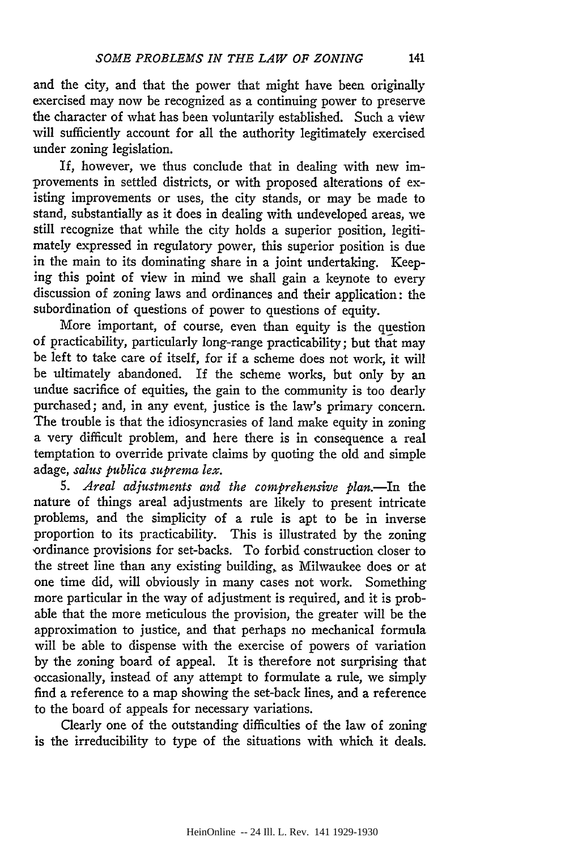If, however, we thus conclude that in dealing with new improvements in settled districts, or with proposed alterations of existing improvements or uses, the city stands, or may be made to stand, substantially as it does in dealing with undeveloped areas, we still recognize that while the city holds a superior position, legitimately expressed in regulatory power, this superior position is due in the main to its dominating share in a joint undertaking. Keeping this point of view in mind we shall gain a keynote to every discussion of zoning laws and ordinances and their application: the subordination of questions of power to questions of equity.

More important, of course, even than equity is the question of practicability, particularly long-range practicability; but that may be left to take care of itself, for if a scheme does not work, it will be ultimately abandoned. If the scheme works, but only by an undue sacrifice of equities, the gain to the community is too dearly purchased; and, in any event, justice is the law's primary concern. The trouble is that the idiosyncrasies of land make equity in zoning a very difficult problem, and here there is in consequence a real temptation to override private claims by quoting the old and simple adage, *salus publica suprema lex.*

*5. Areal adjustments and the comprehensive plan.-In* the nature of things areal adjustments are likely to present intricate problems, and the simplicity of a rule is apt to be in inverse proportion to its practicability. This is illustrated by the zoning ordinance provisions for set-backs. To forbid construction closer to the street line than any existing building, as Milwaukee does or at one time did, will obviously in many cases not work. Something more particular in the way of adjustment is required, and it is probable that the more meticulous the provision, the greater will be the approximation to justice, and that perhaps no mechanical formula will be able to dispense with the exercise of powers of variation by the zoning board of appeal. It is therefore not surprising that occasionally, instead of any attempt to formulate a rule, we simply find a reference to a map showing the set-back lines, and a reference to the board of appeals for necessary variations.

Clearly one of the outstanding difficulties of the law of zoning is the irreducibility to type of the situations with which it deals.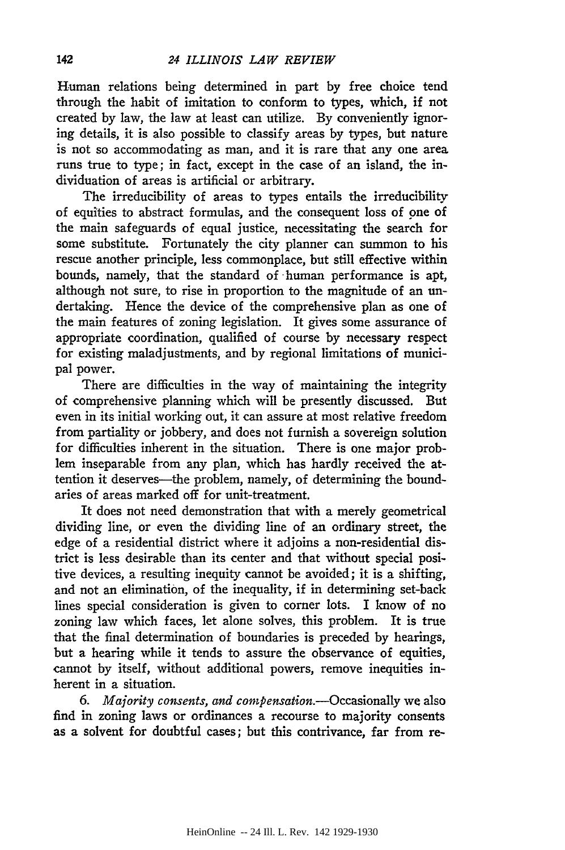Human relations being determined in part by free choice tend through the habit of imitation to conform to types, which, if not created by law, the law at least can utilize. By conveniently ignoring details, it is also possible to classify areas by types, but nature is not so accommodating as man, and it is rare that any one area runs true to type; in fact, except in the case of an island, the individuation of areas is artificial or arbitrary.

The irreducibility of areas to types entails the irreducibility of equities to abstract formulas, and the consequent loss of one of the main safeguards of equal justice, necessitating the search for some substitute. Fortunately the city planner can summon to his rescue another principle, less commonplace, but still effective within bounds, namely, that the standard of human performance is apt, although not sure, to rise in proportion to the magnitude of an undertaking. Hence the device of the comprehensive plan as one of the main features of zoning legislation. It gives some assurance of appropriate coordination, qualified of course by necessary respect for existing maladjustments, and by regional limitations of municipal power.

There are difficulties in the way of maintaining the integrity of comprehensive planning which will be presently discussed. But even in its initial working out, it can assure at most relative freedom from partiality or jobbery, and does not furnish a sovereign solution for difficulties inherent in the situation. There is one major problem inseparable from any plan, which has hardly received the attention it deserves—the problem, namely, of determining the boundaries of areas marked off for unit-treatment.

It does not need demonstration that with a merely geometrical dividing line, or even the dividing line of an ordinary street, the edge of a residential district where it adjoins a non-residential district is less desirable than its center and that without special positive devices, a resulting inequity cannot be avoided; it is a shifting, and not an elimination, of the inequality, if in determining set-back lines special consideration is given to corner lots. I know of no zoning law which faces, let alone solves, this problem. It is true that the final determination of boundaries is preceded by hearings, but a hearing while it tends to assure the observance of equities, cannot by itself, without additional powers, remove inequities inherent in a situation.

*6. Majority consents, and compensation.-Occasionally* we also find in zoning laws or ordinances a recourse to majority consents as a solvent for doubtful cases; but this contrivance, far from re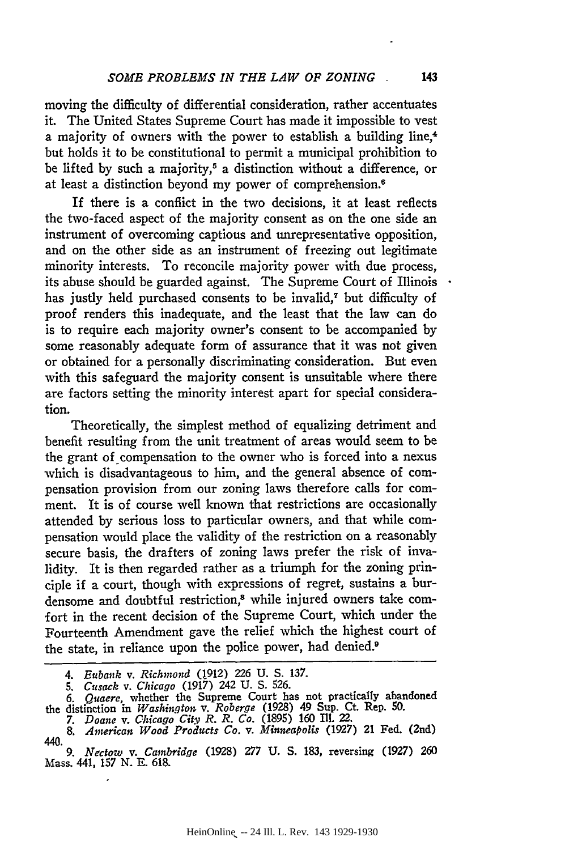moving the difficulty of differential consideration, rather accentuates it. The United States Supreme Court has made it impossible to vest a majority of owners with the power to establish a building line, $<sup>4</sup>$ </sup> but holds it to be constitutional to permit a municipal prohibition to be lifted by such a majority,<sup> $5$ </sup> a distinction without a difference, or at least a distinction beyond my power of comprehension.<sup>6</sup>

If there is a conflict in the two decisions, it at least reflects the two-faced aspect of the majority consent as on the one side an instrument of overcoming captious and unrepresentative opposition, and on the other side as an instrument of freezing out legitimate minority interests. To reconcile majority power with due process, its abuse should be guarded against. The Supreme Court of Illinois has justly held purchased consents to be invalid,<sup>7</sup> but difficulty of proof renders this inadequate, and the least that the law can do is to require each majority owner's consent to be accompanied by some reasonably adequate form of assurance that it was not given or obtained for a personally discriminating consideration. But even with this safeguard the majority consent is unsuitable where there are factors setting the minority interest apart for special consideration.

Theoretically, the simplest method of equalizing detriment and benefit resulting from the unit treatment of areas would seem to be the grant of compensation to the owner who is forced into a nexus which is disadvantageous to him, and the general absence of compensation provision from our zoning laws therefore calls for comment. It is of course well known that restrictions are occasionally attended by serious loss to particular owners, and that while compensation would place the validity of the restriction on a reasonably secure basis, the drafters of zoning laws prefer the risk of invalidity. It is then regarded rather as a triumph for the zoning principle if a court, though with expressions of regret, sustains a burdensome and doubtful restriction,<sup>8</sup> while injured owners take comfort in the recent decision of the Supreme Court, which under the Fourteenth Amendment gave the relief which the highest court of the state, in reliance upon the police power, had denied.<sup>9</sup>

*<sup>4.</sup> Eubank v. Richmond* **(1.912) 226 U. S. 137.**

*<sup>5.</sup> Cusack v. Chicago* **(1917) 242 U. S. 526.**

*<sup>6.</sup> Quacre,* whether **the** Supreme **Court** has **not** practically abandoned the distinction in *Washington v. Roberge* **(1928) 49 Sup.** Ct. **Rep. 50.** *7. Doane v. Chicago City R. R. Co.* **(1895) 160** Ill. 22.

*<sup>8.</sup> A terican Wood Products Co. v. Minneapolis* **(1927) 21** Fed. (2nd)

<sup>440.</sup>

*<sup>9.</sup> Nectow v. Cambridge* **(1928) 277 U. S. 183,** reversing **(1927) 260** Mass. 441, **157 N. E. 618.**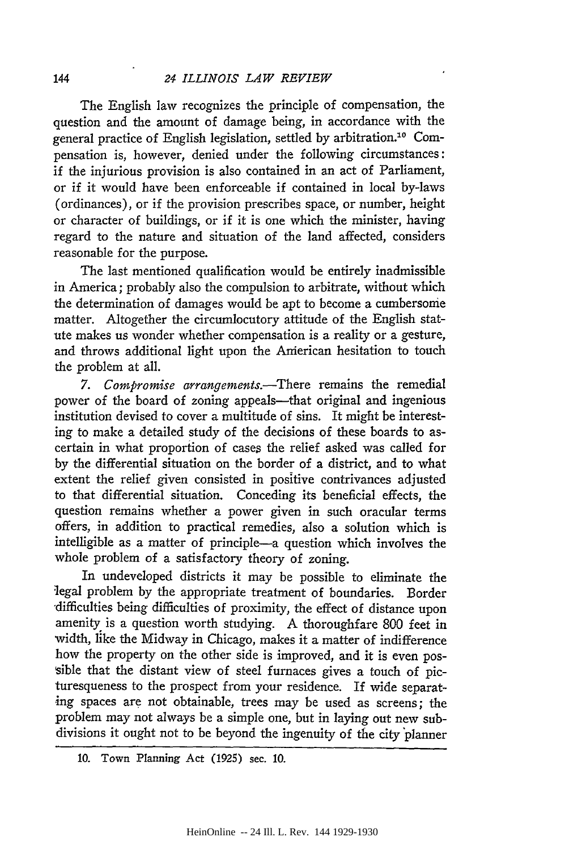The English law recognizes the principle of compensation, the question and the amount of damage being, in accordance with the general practice of English legislation, settled by arbitration.10 Compensation is, however, denied under the following circumstances: if the injurious provision is also contained in an act of Parliament, or if it would have been enforceable if contained in local by-laws (ordinances), or if the provision prescribes space, or number, height or character of buildings, or if it is one which the minister, having regard to the nature and situation of the land affected, considers reasonable for the purpose.

The last mentioned qualification would be entirely inadmissible in America; probably also the compulsion to arbitrate, without which the determination of damages would be apt to become a cumbersome matter. Altogether the circumlocutory attitude of the English statute makes us wonder whether compensation is a reality or a gesture, and throws additional light upon the Anierican hesitation to touch the problem at all.

*7. Compromise arrangements.-There* remains the remedial power of the board of zoning appeals—that original and ingenious institution devised to cover a multitude of sins. It might be interesting to make a detailed study of the decisions of these boards to ascertain in what proportion of cases the relief asked was called for by the differential situation on the border of a district, and to what extent the relief given consisted in positive contrivances adjusted to that differential situation. Conceding its beneficial effects, the question remains whether a power given in such oracular terms offers, in addition to practical remedies, also a solution which is intelligible as a matter of principle-a question which involves the whole problem of a satisfactory theory of zoning.

In undeveloped districts it may be possible to eliminate the legal problem by the appropriate treatment of boundaries. Border 'difficulties being difficulties of proximity, the effect of distance upon amenity is a question worth studying. A thoroughfare 800 feet in width, like the Midway in Chicago, makes it a matter of indifference how the property on the other side is improved, and it is even possible that the distant view of steel furnaces gives a touch of picturesqueness to the prospect from your residence. If wide separating spaces are not obtainable, trees may be used as screens; the problem may not always be a simple one, but in laying out new subdivisions it ought not to be beyond the ingenuity of the city planner

<sup>10.</sup> Town Planning Act (1925) sec. 10.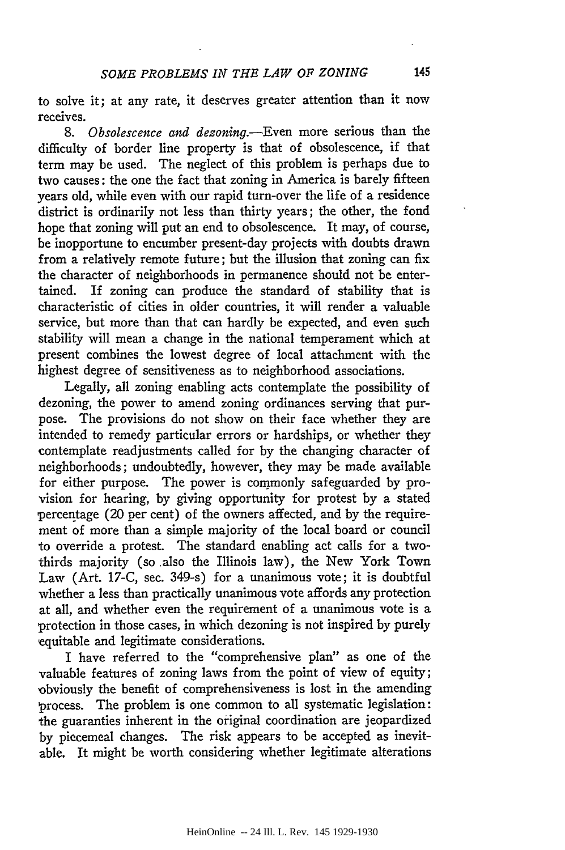to solve it; at any rate, it deserves greater attention than it now receives.

*8. Obsolescence and dezoning.-Even* more serious than the difficulty of border line property is that of obsolescence, if that term may be used. The neglect of this problem is perhaps due to two causes: the one the fact that zoning in America is barely fifteen years old, while even with our rapid turn-over the life of a residence district is ordinarily not less than thirty years; the other, the fond hope that zoning will put an end to obsolescence. It may, of course, be inopportune to encumber present-day projects with doubts drawn from a relatively remote future; but the illusion that zoning can fix the character of neighborhoods in permanence should not be entertained. If zoning can produce the standard of stability that is characteristic of cities in older countries, it will render a valuable service, but more than that can hardly be expected, and even such stability will mean a change in the national temperament which at present combines the lowest degree of local attachment with the highest degree of sensitiveness as to neighborhood associations.

Legally, all zoning enabling acts contemplate the possibility of dezoning, the power to amend zoning ordinances serving that purpose. The provisions do not show on their face whether they are intended to remedy particular errors or hardships, or whether they contemplate readjustments called for by the changing character of neighborhoods; undoubtedly, however, they may be made available for either purpose. The power is commonly safeguarded by provision for hearing, by giving opportunity for protest by a stated percentage (20 per cent) of the owners affected, and by the requirement of more than a simple majority of the local board or council to override a protest. The standard enabling act calls for a twothirds majority (so also the Illinois law), the New York Town Law (Art. 17-C, sec. 349-s) for a unanimous vote; it is doubtful whether a less than practically unanimous vote affords any protection at all, and whether even the requirement of a unanimous vote is a protection in those cases, in which dezoning is not inspired by purely equitable and legitimate considerations.

I have referred to the "comprehensive plan" as one of the valuable features of zoning laws from the point of view of equity; ,obviously the benefit of comprehensiveness is lost in the amending ,process. The problem is one common to all systematic legislation: the guaranties inherent in the original coordination are jeopardized by piecemeal changes. The risk appears to be accepted as inevitable. It might be worth considering whether legitimate alterations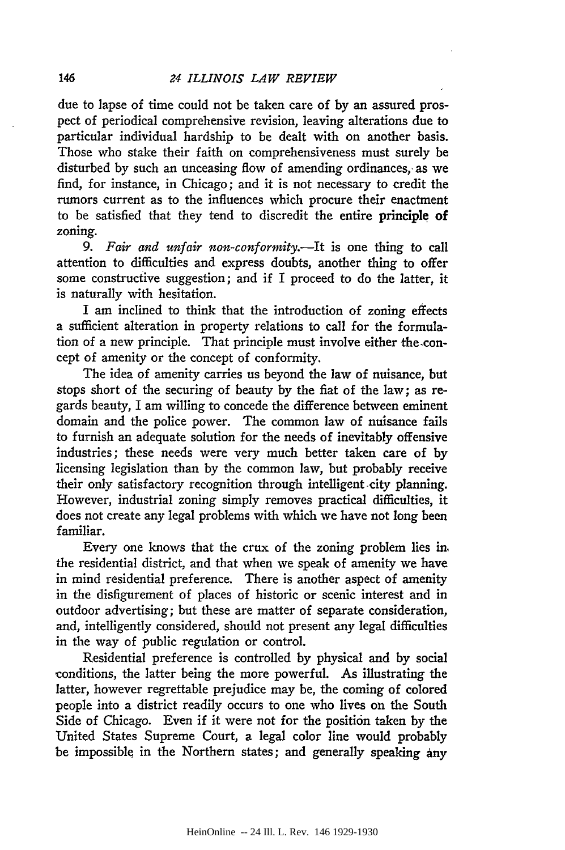due to lapse of time could not be taken care of by an assured prospect of periodical comprehensive revision, leaving alterations due to particular individual hardship to be dealt with on another basis. Those who stake their faith on comprehensiveness must surely be disturbed by such an unceasing flow of amending ordinances, as we find, for instance, in Chicago; and it is not necessary to credit the rumors current as to the influences which procure their enactment to be satisfied that they tend to discredit the entire principle of zoning.

*9. Fair and unfair non-conformity.-It* is one thing to call attention to difficulties and express doubts, another thing to offer some constructive suggestion; and if I proceed to do the latter, it is naturally with hesitation.

I am inclined to think that the introduction of zoning effects a sufficient alteration in property relations to call for the formulation of a new principle. That principle must involve either the-concept of amenity or the concept of conformity.

The idea of amenity carries us beyond the law of nuisance, but stops short of the securing of beauty by the fiat of the law; as regards beauty, I am willing to concede the difference between eminent domain and the police power. The common law of nuisance fails to furnish an adequate solution for the needs of inevitably offensive industries; these needs were very much better taken care of by licensing legislation than by the common law, but probably receive their only satisfactory recognition through intelligent city planning. However, industrial zoning simply removes practical difficulties, it does not create any legal problems with which we have not long been familiar.

Every one knows that the crux of the zoning problem lies in. the residential district, and that when we speak of amenity we have in mind residential preference. There is another aspect of amenity in the disfigurement of places of historic or scenic interest and in outdoor advertising; but these are matter of separate consideration, and, intelligently considered, should not present any legal difficulties in the way of public regulation or control.

Residential preference is controlled by physical and by social conditions, the latter being the more powerful. As illustrating the latter, however regrettable prejudice may be, the coming of colored people into a district readily occurs to one who lives on the South Side of Chicago. Even if it were not for the position taken by the United States Supreme Court, a legal color line would probably be impossible in the Northern states; and generally speaking any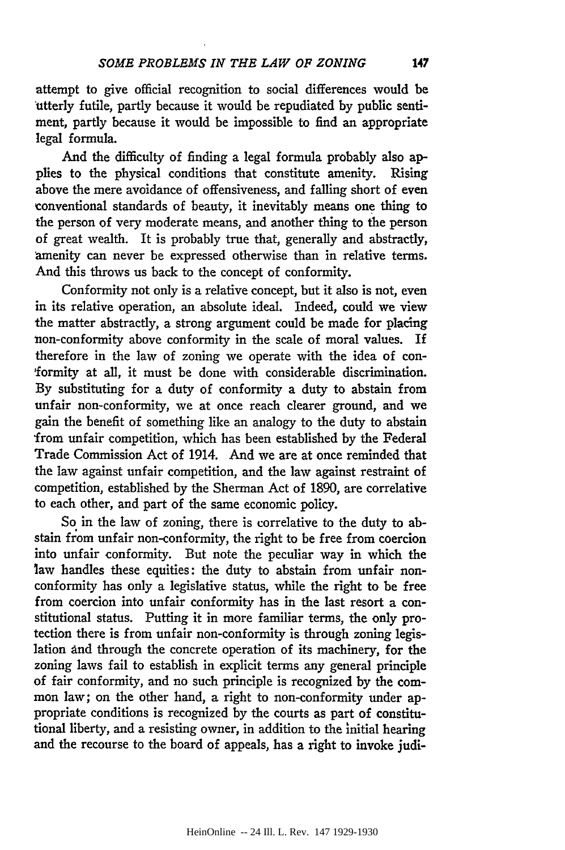attempt to give official recognition to social differences would be utterly futile, partly because it would be repudiated by public sentiment, partly because it would be impossible to find an appropriate legal formula.

And the difficulty of finding a legal formula probably also applies to the physical conditions that constitute amenity. Rising above the mere avoidance of offensiveness, and falling short of even conventional standards of beauty, it inevitably means one thing to the person of very moderate means, and another thing to the person of great wealth. It is probably true that, generally and abstractly, 'amenity can never be expressed otherwise than in relative terms. And this throws us back to the concept of conformity.

Conformity not only is a relative concept, but it also is not, even in its relative operation, an absolute ideal. Indeed, could we view the matter abstractly, a strong argument could be made for placing non-conformity above conformity in the scale of moral values. If therefore in the law of zoning we operate with the idea of con- 'formity at all, it must be done with considerable discrimination. By substituting for a duty of conformity a duty to abstain from unfair non-conformity, we at once reach clearer ground, and we gain the benefit of something like an analogy to the duty to abstain from unfair competition, which has been established by the Federal Trade Commission Act of 1914. And we are at once reminded that the law against unfair competition, and the law against restraint of competition, established by the Sherman Act of 1890, are correlative to each other, and part of the same economic policy.

So in the law of zoning, there is correlative to the duty to abstain from unfair non-conformity, the right to be free from coercion into unfair conformity. But note the peculiar way in which the law handles these equities: the duty to abstain from unfair nonconformity has only a legislative status, while the right to be free from coercion into unfair conformity has in the last resort a constitutional status. Putting it in more familiar terms, the only protection there is from unfair non-conformity is through zoning legislation and through the concrete operation of its machinery, for the zoning laws fail to establish in explicit terms any general principle of fair conformity, and no such principle is recognized by the common law; on the other hand, a right to non-conformity under appropriate conditions is recognized by the courts as part of constitutional liberty, and a resisting owner, in addition to the initial hearing and the recourse to the board of appeals, has a right to invoke judi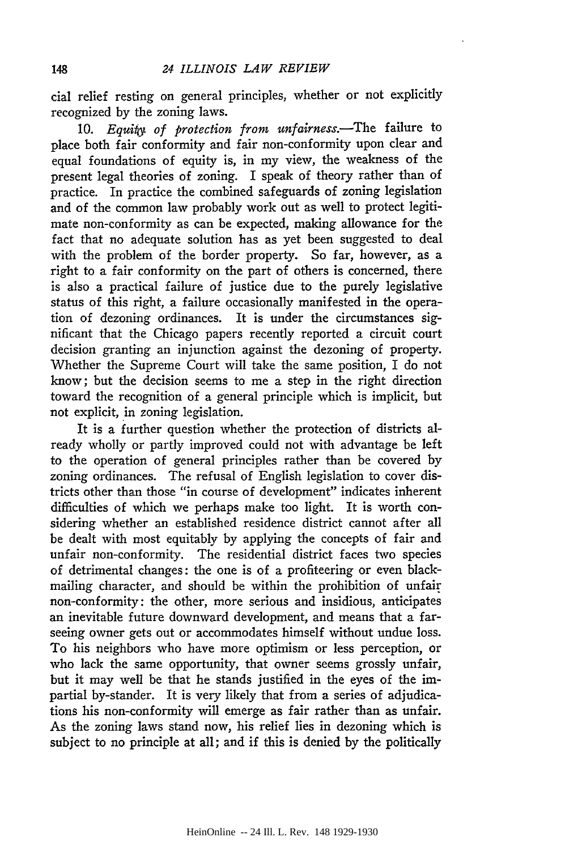cial relief resting on general principles, whether or not explicitly recognized by the zoning laws.

10. *Equiiy of protection from unfairness.-The* failure to place both fair conformity and fair non-conformity upon clear and equal foundations of equity is, in my view, the weakness of the present legal theories of zoning. I speak of theory rather than of practice. In practice the combined safeguards of zoning legislation and of the common law probably work out as well to protect legitimate non-conformity as can be expected, making allowance for the fact that no adequate solution has as yet been suggested to deal with the problem of the border property. So far, however, as a right to a fair conformity on the part of others is concerned, there is also a practical failure of justice due to the purely legislative status of this right, a failure occasionally manifested in the operation of dezoning ordinances. It is under the circumstances significant that the Chicago papers recently reported a circuit court decision granting an injunction against the dezoning of property. Whether the Supreme Court will take the same position, I do not know; but the decision seems to me a step in the right direction toward the recognition of a general principle which is implicit, but not explicit, in zoning legislation.

It is a further question whether the protection of districts already wholly or partly improved could not with advantage be left to the operation of general principles rather than be covered by zoning ordinances. The refusal of English legislation to cover districts other than those "in course of development" indicates inherent difficulties of which we perhaps make too light. It is worth considering whether an established residence district cannot after all be dealt with most equitably by applying the concepts of fair and unfair non-conformity. The residential district faces two species of detrimental changes: the one is of a profiteering or even blackmailing character, and should be within the prohibition of unfair non-conformity: the other, more serious and insidious, anticipates an inevitable future downward development, and means that a farseeing owner gets out or accommodates himself without undue loss. To his neighbors who have more optimism or less perception, or who lack the same opportunity, that owner seems grossly unfair, but it may well be that he stands justified in the eyes of the impartial by-stander. It is very likely that from a series of adjudications his non-conformity will emerge as fair rather than as unfair. As the zoning laws stand now, his relief lies in dezoning which is subject to no principle at all; and if this is denied by the politically